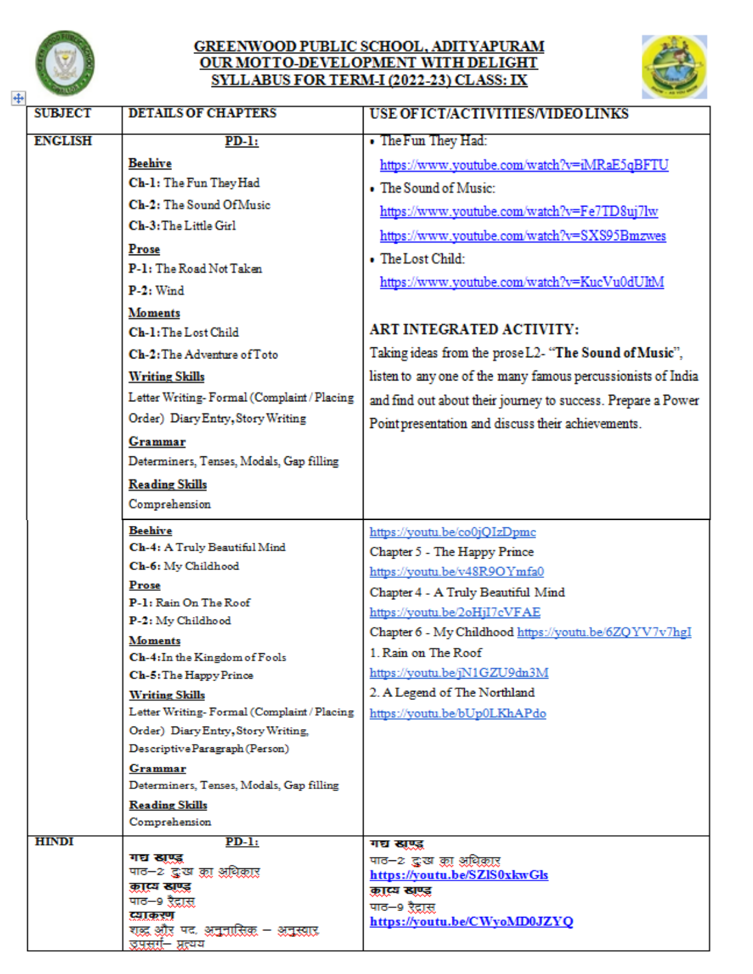

## GREENWOOD PUBLIC SCHOOL, ADITYAPURAM<br>OUR MOTTO-DEVELOPMENT WITH DELIGHT SYLLABUS FOR TERM-I (2022-23) CLASS: IX



| ੇ ਸਰਕਾ         |                                                                     |                                                              |
|----------------|---------------------------------------------------------------------|--------------------------------------------------------------|
| <b>SUBJECT</b> | <b>DETAILS OF CHAPTERS</b>                                          | USE OF ICT/ACTIVITIES/VIDEO LINKS                            |
| <b>ENGLISH</b> | $PD-1:$                                                             | • The Fun They Had:                                          |
|                | <b>Beehive</b>                                                      | https://www.youtube.com/watch?v=iMRaE5qBFTU                  |
|                | Ch-1: The Fun They Had                                              | • The Sound of Music:                                        |
|                | Ch-2: The Sound Of Music                                            | https://www.youtube.com/watch?v=Fe7TD8uj7lw                  |
|                | Ch-3: The Little Girl                                               | https://www.youtube.com/watch?v=SXS95Bmzwes                  |
|                | <b>Prose</b>                                                        | • The Lost Child:                                            |
|                | P-1: The Road Not Taken                                             |                                                              |
|                | $P-2:$ Wind                                                         | https://www.youtube.com/watch?v=KucVu0dUltM                  |
|                | <b>Moments</b>                                                      |                                                              |
|                | Ch-1: The Lost Child                                                | <b>ART INTEGRATED ACTIVITY:</b>                              |
|                | Ch-2: The Adventure of Toto                                         | Taking ideas from the prose L2- "The Sound of Music",        |
|                | <b>Writing Skills</b>                                               | listen to any one of the many famous percussionists of India |
|                | Letter Writing-Formal (Complaint / Placing                          | and find out about their journey to success. Prepare a Power |
|                | Order) Diary Entry, Story Writing                                   | Point presentation and discuss their achievements.           |
|                | Grammar                                                             |                                                              |
|                | Determiners, Tenses, Modals, Gap filling                            |                                                              |
|                | <b>Reading Skills</b>                                               |                                                              |
|                | Comprehension                                                       |                                                              |
|                | <b>Beehive</b>                                                      | https://youtu.be/co0jQIzDpmc                                 |
|                | Ch-4: A Truly Beautiful Mind                                        | Chapter 5 - The Happy Prince                                 |
|                | Ch-6: My Childhood                                                  | https://youtu.be/v48R9OYmfa0                                 |
|                | Prose<br>P-1: Rain On The Roof                                      | Chapter 4 - A Truly Beautiful Mind                           |
|                | P-2: My Childhood                                                   | https://youtu.be/2oHjI7cVFAE                                 |
|                | <b>Moments</b>                                                      | Chapter 6 - My Childhood https://youtu.be/6ZQYV7v7hgI        |
|                | Ch-4: In the Kingdom of Fools                                       | 1. Rain on The Roof                                          |
|                | Ch-5: The Happy Prince                                              | https://youtu.be/jN1GZU9dn3M                                 |
|                | <b>Writing Skills</b><br>Letter Writing-Formal (Complaint / Placing | 2. A Legend of The Northland                                 |
|                | Order) Diary Entry, Story Writing,                                  | https://youtu.be/bUp0LKhAPdo                                 |
|                | Descriptive Paragraph (Person)                                      |                                                              |
|                | Grammar                                                             |                                                              |
|                | Determiners, Tenses, Modals, Gap filling                            |                                                              |
|                | <b>Reading Skills</b>                                               |                                                              |
| <b>HINDI</b>   | Comprehension                                                       |                                                              |
|                | <u>PD-1:</u><br>गद्य खण्ड                                           | गरा खाप्ट<br>पाठ–2 द्वःख क्रा अधिकार                         |
|                | पाठ–2 द्धःख क्रा अधिकार                                             | https://youtu.be/SZIS0xkwGls                                 |
|                | काव्य खण्ड<br>पाठ—9 ऱैद्रास                                         | कास्य खण्ड                                                   |
|                | दमाकरण                                                              | पाठ—9 ऱैद्रास<br>https://youtu.be/CWyoMD0JZYQ                |
|                | शब्द और पद. अनुनासिक – अनुस्वार.<br>उपसर्ग— प्रत्यय                 |                                                              |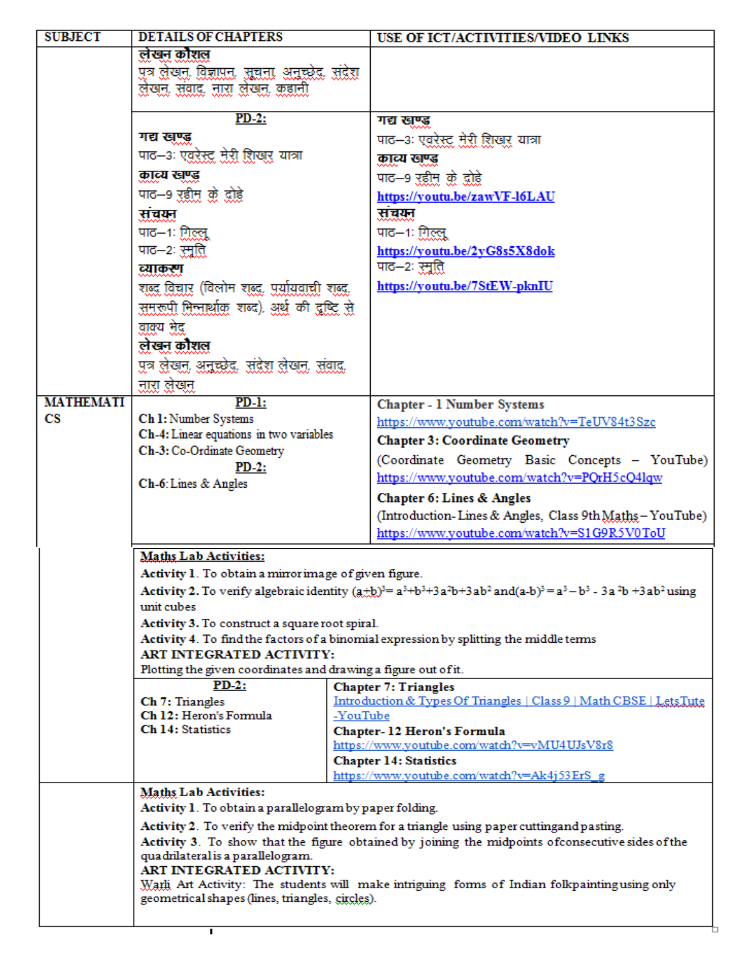| <b>SUBJECT</b>         | <b>DETAILS OF CHAPTERS</b>                                                                   | USE OF ICT/ACTIVITIES/VIDEO LINKS                                                                                                     |  |
|------------------------|----------------------------------------------------------------------------------------------|---------------------------------------------------------------------------------------------------------------------------------------|--|
|                        | लेखन कोशल                                                                                    |                                                                                                                                       |  |
|                        | पुत्र लेखन, विज्ञापन, सूचना, अनुस्क्रेद, संद्रेश,                                            |                                                                                                                                       |  |
|                        | लेखन, संवाद, नारा लेखन, कहानी                                                                |                                                                                                                                       |  |
|                        |                                                                                              |                                                                                                                                       |  |
|                        | $PD-2$ :                                                                                     | गद्य खण्ड                                                                                                                             |  |
|                        | गद्य खण्ड                                                                                    | पाठ–३ः एवरेस्ट मेरी शिखर यात्रा                                                                                                       |  |
|                        | पाठ–३ः एवरेस्ट मेरी शिखर यात्रा                                                              | काव्य खण्ड                                                                                                                            |  |
|                        | काव्य खण्ड                                                                                   | पाठ—9 रहीम को दोहे                                                                                                                    |  |
|                        | पाठ—9 रहीम को दोहे                                                                           | https://youtu.be/zawVF-16LAU                                                                                                          |  |
|                        | संचयन                                                                                        | संचयन                                                                                                                                 |  |
|                        | पाठ—1: गिल्लू                                                                                | पाठ—१ः गिल्लू                                                                                                                         |  |
|                        | पाठ—२ः स्मूति                                                                                | https://youtu.be/2yG8s5X8dok                                                                                                          |  |
|                        | व्याकरण                                                                                      | पाढ—२ः स्मुति                                                                                                                         |  |
|                        | शब्द विचार (विलोम शब्द, पुर्यायवाची शब्द,                                                    | https://youtu.be/7StEW-pknIU                                                                                                          |  |
|                        |                                                                                              |                                                                                                                                       |  |
|                        | समरूपी मिन्नार्थाकु शब्द), अर्थ की दुष्टि से                                                 |                                                                                                                                       |  |
|                        | वाक्य भेद                                                                                    |                                                                                                                                       |  |
|                        | लेखन कौशल                                                                                    |                                                                                                                                       |  |
|                        | पत्र लेखन, अनुच्छेद, संद्रेश लेखन, संवाद,                                                    |                                                                                                                                       |  |
|                        | नारा लेखन                                                                                    |                                                                                                                                       |  |
| <b>MATHEMATI</b>       | $PD-1$ :                                                                                     | <b>Chapter - 1 Number Systems</b>                                                                                                     |  |
| $\mathbf{c}\mathbf{s}$ | Ch 1: Number Systems                                                                         | https://www.youtube.com/watch?v=TeUV84t3Szc                                                                                           |  |
|                        | Ch-4: Linear equations in two variables                                                      | <b>Chapter 3: Coordinate Geometry</b>                                                                                                 |  |
|                        | Ch-3: Co-Ordinate Geometry                                                                   | (Coordinate Geometry Basic Concepts - YouTube)                                                                                        |  |
|                        | $PD-2$ :<br>Ch-6: Lines & Angles                                                             | https://www.youtube.com/watch?v=PQrH5cQ4lqw                                                                                           |  |
|                        |                                                                                              | <b>Chapter 6: Lines &amp; Angles</b>                                                                                                  |  |
|                        |                                                                                              | (Introduction-Lines & Angles, Class 9th Maths-YouTube)                                                                                |  |
|                        |                                                                                              | https://www.youtube.com/watch?v=S1G9R5V0ToU                                                                                           |  |
|                        | <b>Maths Lab Activities:</b>                                                                 |                                                                                                                                       |  |
|                        | Activity 1. To obtain a mirror image of given figure.                                        |                                                                                                                                       |  |
|                        |                                                                                              | <b>Activity 2.</b> To verify algebraic identity $(a+b)^3 = a^3 + b^3 + 3a^2b + 3ab^2$ and $(a-b)^3 = a^3 - b^3 - 3a^2b + 3ab^2$ using |  |
|                        | unit cubes                                                                                   |                                                                                                                                       |  |
|                        | Activity 3. To construct a square root spiral.                                               |                                                                                                                                       |  |
|                        | Activity 4. To find the factors of a binomial expression by splitting the middle terms       |                                                                                                                                       |  |
|                        | ART INTEGRATED ACTIVITY:                                                                     |                                                                                                                                       |  |
|                        | Plotting the given coordinates and drawing a figure out of it.                               |                                                                                                                                       |  |
|                        | PD-2:<br>Ch 7: Triangles<br>Ch 12: Heron's Formula<br><b>Ch 14: Statistics</b>               | <b>Chapter 7: Triangles</b>                                                                                                           |  |
|                        |                                                                                              | Introduction & Types Of Triangles   Class 9   Math CBSE   Lets Tute<br>-YouTube                                                       |  |
|                        |                                                                                              | Chapter-12 Heron's Formula                                                                                                            |  |
|                        |                                                                                              | https://www.youtube.com/watch?v=vMU4UJsV8r8                                                                                           |  |
|                        |                                                                                              | <b>Chapter 14: Statistics</b>                                                                                                         |  |
|                        |                                                                                              | https://www.youtube.com/watch?v=Ak4j53ErS g                                                                                           |  |
|                        | <b>Maths Lab Activities:</b>                                                                 |                                                                                                                                       |  |
|                        | Activity 1. To obtain a parallelogram by paper folding.                                      |                                                                                                                                       |  |
|                        |                                                                                              | Activity 2. To verify the midpoint theorem for a triangle using paper cuttingand pasting.                                             |  |
|                        | quadrilateral is a parallelogram.                                                            | Activity 3. To show that the figure obtained by joining the midpoints of consecutive sides of the                                     |  |
|                        | ART INTEGRATED ACTIVITY:                                                                     |                                                                                                                                       |  |
|                        | Warli Art Activity: The students will make intriguing forms of Indian folkpaintingusing only |                                                                                                                                       |  |
|                        | geometrical shapes (lines, triangles, circles).                                              |                                                                                                                                       |  |
|                        |                                                                                              |                                                                                                                                       |  |
|                        | $\mathbf{I}$                                                                                 |                                                                                                                                       |  |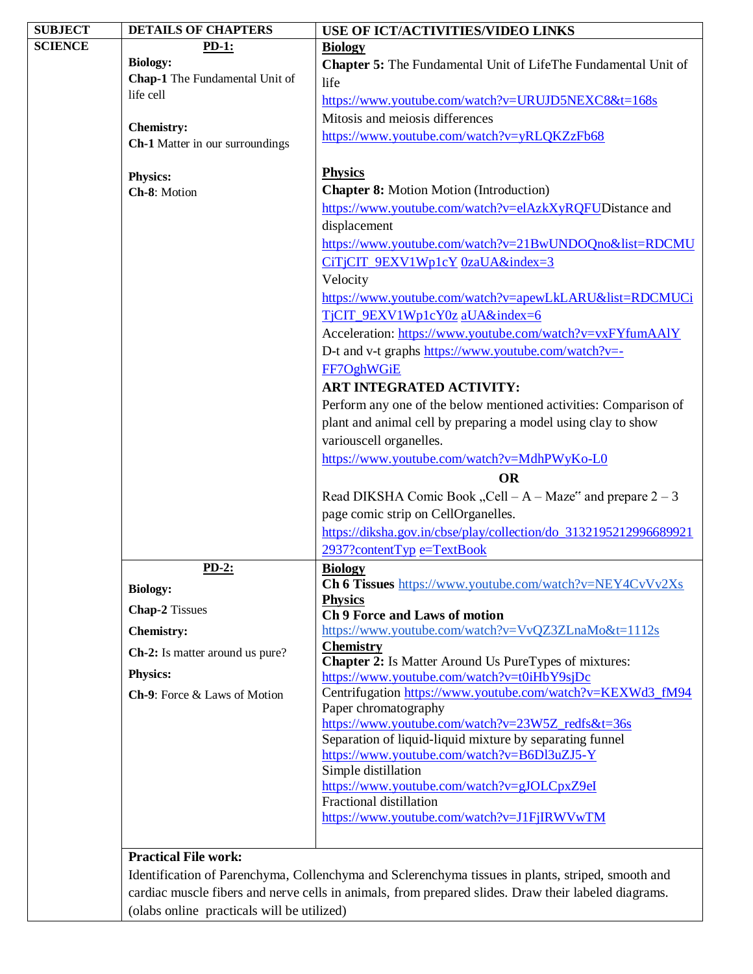| <b>SUBJECT</b> | <b>DETAILS OF CHAPTERS</b>      | USE OF ICT/ACTIVITIES/VIDEO LINKS                                                                                                                                                                         |
|----------------|---------------------------------|-----------------------------------------------------------------------------------------------------------------------------------------------------------------------------------------------------------|
| <b>SCIENCE</b> | <b>PD-1:</b>                    | <b>Biology</b>                                                                                                                                                                                            |
|                | <b>Biology:</b>                 | <b>Chapter 5:</b> The Fundamental Unit of LifeThe Fundamental Unit of                                                                                                                                     |
|                | Chap-1 The Fundamental Unit of  | life                                                                                                                                                                                                      |
|                | life cell                       | https://www.youtube.com/watch?v=URUJD5NEXC8&t=168s                                                                                                                                                        |
|                |                                 | Mitosis and meiosis differences                                                                                                                                                                           |
|                | <b>Chemistry:</b>               | https://www.youtube.com/watch?v=yRLQKZzFb68                                                                                                                                                               |
|                | Ch-1 Matter in our surroundings |                                                                                                                                                                                                           |
|                | <b>Physics:</b>                 | <b>Physics</b>                                                                                                                                                                                            |
|                | Ch-8: Motion                    | <b>Chapter 8:</b> Motion Motion (Introduction)                                                                                                                                                            |
|                |                                 | https://www.youtube.com/watch?v=elAzkXyRQFUDistance and                                                                                                                                                   |
|                |                                 | displacement                                                                                                                                                                                              |
|                |                                 | https://www.youtube.com/watch?v=21BwUNDOQno&list=RDCMU                                                                                                                                                    |
|                |                                 | CiTjCIT_9EXV1Wp1cY_0zaUA&index=3                                                                                                                                                                          |
|                |                                 | Velocity                                                                                                                                                                                                  |
|                |                                 | https://www.youtube.com/watch?v=apewLkLARU&list=RDCMUCi                                                                                                                                                   |
|                |                                 | TjCIT_9EXV1Wp1cY0z aUA&index=6                                                                                                                                                                            |
|                |                                 | Acceleration: https://www.youtube.com/watch?v=vxFYfumAAlY                                                                                                                                                 |
|                |                                 | D-t and v-t graphs https://www.youtube.com/watch?v=-                                                                                                                                                      |
|                |                                 | FF7OghWGiE                                                                                                                                                                                                |
|                |                                 |                                                                                                                                                                                                           |
|                |                                 | ART INTEGRATED ACTIVITY:                                                                                                                                                                                  |
|                |                                 | Perform any one of the below mentioned activities: Comparison of                                                                                                                                          |
|                |                                 | plant and animal cell by preparing a model using clay to show                                                                                                                                             |
|                |                                 | variouscell organelles.                                                                                                                                                                                   |
|                |                                 | https://www.youtube.com/watch?v=MdhPWyKo-L0                                                                                                                                                               |
|                |                                 | <b>OR</b>                                                                                                                                                                                                 |
|                |                                 |                                                                                                                                                                                                           |
|                |                                 | Read DIKSHA Comic Book "Cell – A – Maze" and prepare $2 - 3$                                                                                                                                              |
|                |                                 | page comic strip on CellOrganelles.                                                                                                                                                                       |
|                |                                 | https://diksha.gov.in/cbse/play/collection/do_3132195212996689921                                                                                                                                         |
|                |                                 | 2937?contentTyp e=TextBook                                                                                                                                                                                |
|                | $PD-2:$                         | <b>Biology</b>                                                                                                                                                                                            |
|                | <b>Biology:</b>                 | Ch 6 Tissues https://www.youtube.com/watch?v=NEY4CvVv2Xs                                                                                                                                                  |
|                |                                 | <b>Physics</b>                                                                                                                                                                                            |
|                | <b>Chap-2</b> Tissues           | <b>Ch 9 Force and Laws of motion</b>                                                                                                                                                                      |
|                | <b>Chemistry:</b>               | https://www.youtube.com/watch?v=VvQZ3ZLnaMo&t=1112s                                                                                                                                                       |
|                | Ch-2: Is matter around us pure? | <b>Chemistry</b><br><b>Chapter 2:</b> Is Matter Around Us PureTypes of mixtures:                                                                                                                          |
|                | Physics:                        | https://www.youtube.com/watch?v=t0iHbY9sjDc                                                                                                                                                               |
|                | Ch-9: Force & Laws of Motion    | Centrifugation https://www.youtube.com/watch?v=KEXWd3_fM94                                                                                                                                                |
|                |                                 | Paper chromatography                                                                                                                                                                                      |
|                |                                 | https://www.youtube.com/watch?v=23W5Z_redfs&t=36s                                                                                                                                                         |
|                |                                 | Separation of liquid-liquid mixture by separating funnel                                                                                                                                                  |
|                |                                 | https://www.youtube.com/watch?v=B6Dl3uZJ5-Y                                                                                                                                                               |
|                |                                 | Simple distillation                                                                                                                                                                                       |
|                |                                 | https://www.youtube.com/watch?v=gJOLCpxZ9eI<br>Fractional distillation                                                                                                                                    |
|                |                                 | https://www.youtube.com/watch?v=J1FjIRWVwTM                                                                                                                                                               |
|                |                                 |                                                                                                                                                                                                           |
|                | <b>Practical File work:</b>     |                                                                                                                                                                                                           |
|                |                                 |                                                                                                                                                                                                           |
|                |                                 | Identification of Parenchyma, Collenchyma and Sclerenchyma tissues in plants, striped, smooth and<br>cardiac muscle fibers and nerve cells in animals, from prepared slides. Draw their labeled diagrams. |